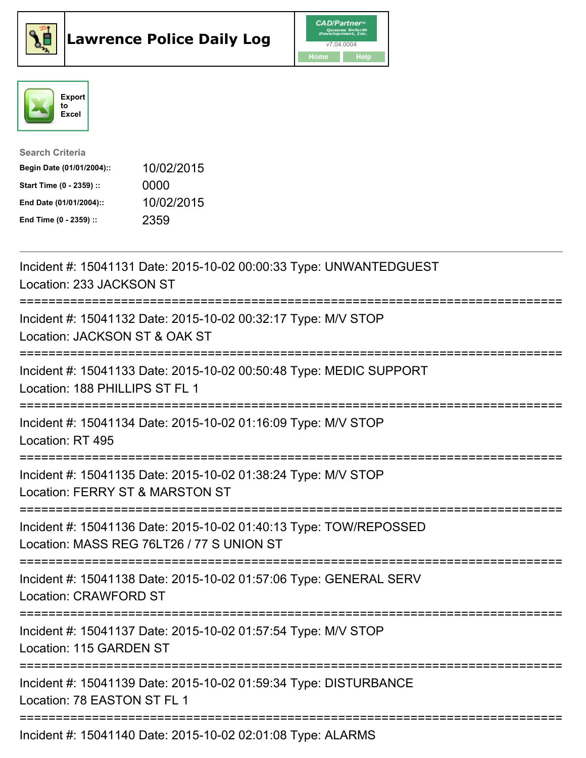





| <b>Search Criteria</b>    |            |
|---------------------------|------------|
| Begin Date (01/01/2004):: | 10/02/2015 |
| Start Time (0 - 2359) ::  | 0000       |
| End Date (01/01/2004)::   | 10/02/2015 |
| End Time (0 - 2359) ::    | 2359       |

| Incident #: 15041131 Date: 2015-10-02 00:00:33 Type: UNWANTEDGUEST<br>Location: 233 JACKSON ST                                                       |
|------------------------------------------------------------------------------------------------------------------------------------------------------|
| Incident #: 15041132 Date: 2015-10-02 00:32:17 Type: M/V STOP<br>Location: JACKSON ST & OAK ST<br>----------                                         |
| Incident #: 15041133 Date: 2015-10-02 00:50:48 Type: MEDIC SUPPORT<br>Location: 188 PHILLIPS ST FL 1<br>==============                               |
| Incident #: 15041134 Date: 2015-10-02 01:16:09 Type: M/V STOP<br>Location: RT 495<br>-------------------                                             |
| Incident #: 15041135 Date: 2015-10-02 01:38:24 Type: M/V STOP<br>Location: FERRY ST & MARSTON ST<br>=============================                    |
| Incident #: 15041136 Date: 2015-10-02 01:40:13 Type: TOW/REPOSSED<br>Location: MASS REG 76LT26 / 77 S UNION ST<br>:================================= |
| Incident #: 15041138 Date: 2015-10-02 01:57:06 Type: GENERAL SERV<br><b>Location: CRAWFORD ST</b>                                                    |
| Incident #: 15041137 Date: 2015-10-02 01:57:54 Type: M/V STOP<br>Location: 115 GARDEN ST                                                             |
| Incident #: 15041139 Date: 2015-10-02 01:59:34 Type: DISTURBANCE<br>Location: 78 EASTON ST FL 1                                                      |
| Incident #: 15041140 Date: 2015-10-02 02:01:08 Type: ALARMS                                                                                          |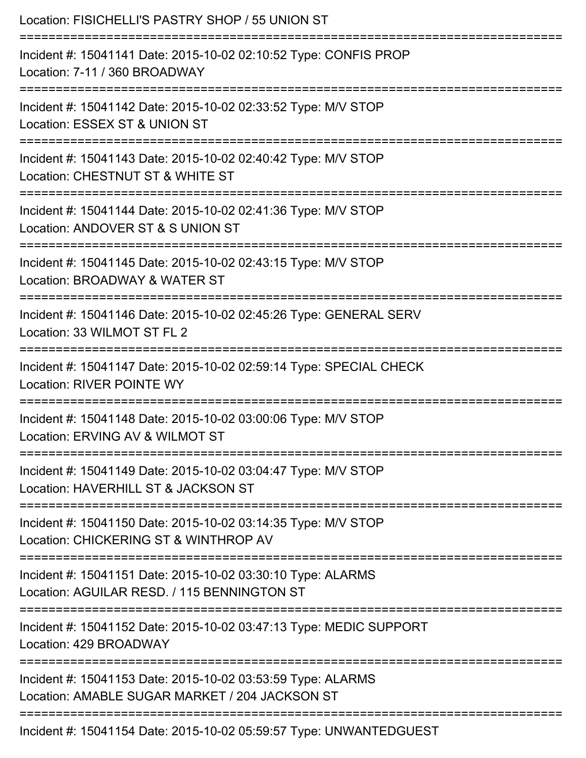| Location: FISICHELLI'S PASTRY SHOP / 55 UNION ST<br>==============================<br>===============================   |
|-------------------------------------------------------------------------------------------------------------------------|
| Incident #: 15041141 Date: 2015-10-02 02:10:52 Type: CONFIS PROP<br>Location: 7-11 / 360 BROADWAY                       |
| Incident #: 15041142 Date: 2015-10-02 02:33:52 Type: M/V STOP<br>Location: ESSEX ST & UNION ST                          |
| Incident #: 15041143 Date: 2015-10-02 02:40:42 Type: M/V STOP<br>Location: CHESTNUT ST & WHITE ST                       |
| Incident #: 15041144 Date: 2015-10-02 02:41:36 Type: M/V STOP<br>Location: ANDOVER ST & S UNION ST                      |
| Incident #: 15041145 Date: 2015-10-02 02:43:15 Type: M/V STOP<br>Location: BROADWAY & WATER ST<br>:==================== |
| Incident #: 15041146 Date: 2015-10-02 02:45:26 Type: GENERAL SERV<br>Location: 33 WILMOT ST FL 2                        |
| Incident #: 15041147 Date: 2015-10-02 02:59:14 Type: SPECIAL CHECK<br><b>Location: RIVER POINTE WY</b>                  |
| Incident #: 15041148 Date: 2015-10-02 03:00:06 Type: M/V STOP<br>Location: ERVING AV & WILMOT ST                        |
| Incident #: 15041149 Date: 2015-10-02 03:04:47 Type: M/V STOP<br>Location: HAVERHILL ST & JACKSON ST                    |
| Incident #: 15041150 Date: 2015-10-02 03:14:35 Type: M/V STOP<br>Location: CHICKERING ST & WINTHROP AV                  |
| Incident #: 15041151 Date: 2015-10-02 03:30:10 Type: ALARMS<br>Location: AGUILAR RESD. / 115 BENNINGTON ST              |
| Incident #: 15041152 Date: 2015-10-02 03:47:13 Type: MEDIC SUPPORT<br>Location: 429 BROADWAY                            |
| Incident #: 15041153 Date: 2015-10-02 03:53:59 Type: ALARMS<br>Location: AMABLE SUGAR MARKET / 204 JACKSON ST           |
| Incident #: 15041154 Date: 2015-10-02 05:59:57 Type: UNWANTEDGUEST                                                      |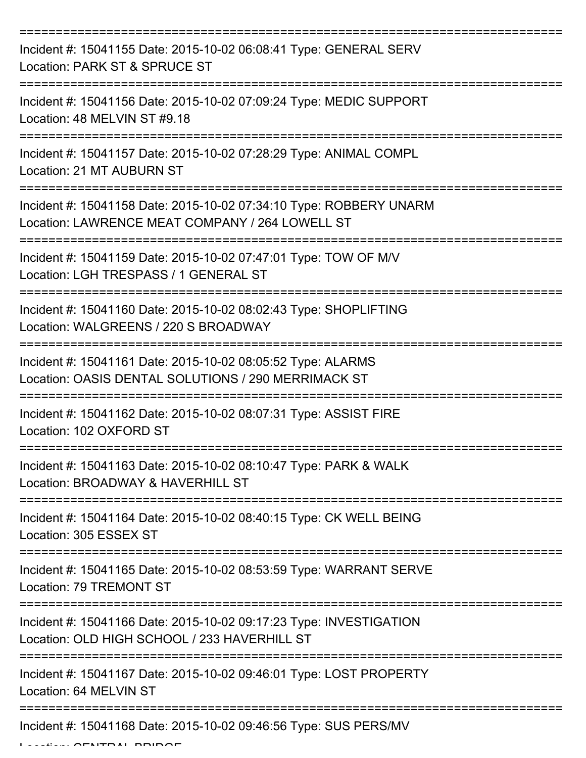| Incident #: 15041155 Date: 2015-10-02 06:08:41 Type: GENERAL SERV<br>Location: PARK ST & SPRUCE ST                    |
|-----------------------------------------------------------------------------------------------------------------------|
| Incident #: 15041156 Date: 2015-10-02 07:09:24 Type: MEDIC SUPPORT<br>Location: 48 MELVIN ST #9.18                    |
| Incident #: 15041157 Date: 2015-10-02 07:28:29 Type: ANIMAL COMPL<br>Location: 21 MT AUBURN ST                        |
| Incident #: 15041158 Date: 2015-10-02 07:34:10 Type: ROBBERY UNARM<br>Location: LAWRENCE MEAT COMPANY / 264 LOWELL ST |
| Incident #: 15041159 Date: 2015-10-02 07:47:01 Type: TOW OF M/V<br>Location: LGH TRESPASS / 1 GENERAL ST              |
| Incident #: 15041160 Date: 2015-10-02 08:02:43 Type: SHOPLIFTING<br>Location: WALGREENS / 220 S BROADWAY              |
| Incident #: 15041161 Date: 2015-10-02 08:05:52 Type: ALARMS<br>Location: OASIS DENTAL SOLUTIONS / 290 MERRIMACK ST    |
| Incident #: 15041162 Date: 2015-10-02 08:07:31 Type: ASSIST FIRE<br>Location: 102 OXFORD ST                           |
| Incident #: 15041163 Date: 2015-10-02 08:10:47 Type: PARK & WALK<br>Location: BROADWAY & HAVERHILL ST                 |
| Incident #: 15041164 Date: 2015-10-02 08:40:15 Type: CK WELL BEING<br>Location: 305 ESSEX ST                          |
| Incident #: 15041165 Date: 2015-10-02 08:53:59 Type: WARRANT SERVE<br>Location: 79 TREMONT ST                         |
| Incident #: 15041166 Date: 2015-10-02 09:17:23 Type: INVESTIGATION<br>Location: OLD HIGH SCHOOL / 233 HAVERHILL ST    |
| Incident #: 15041167 Date: 2015-10-02 09:46:01 Type: LOST PROPERTY<br>Location: 64 MELVIN ST                          |
| Incident #: 15041168 Date: 2015-10-02 09:46:56 Type: SUS PERS/MV                                                      |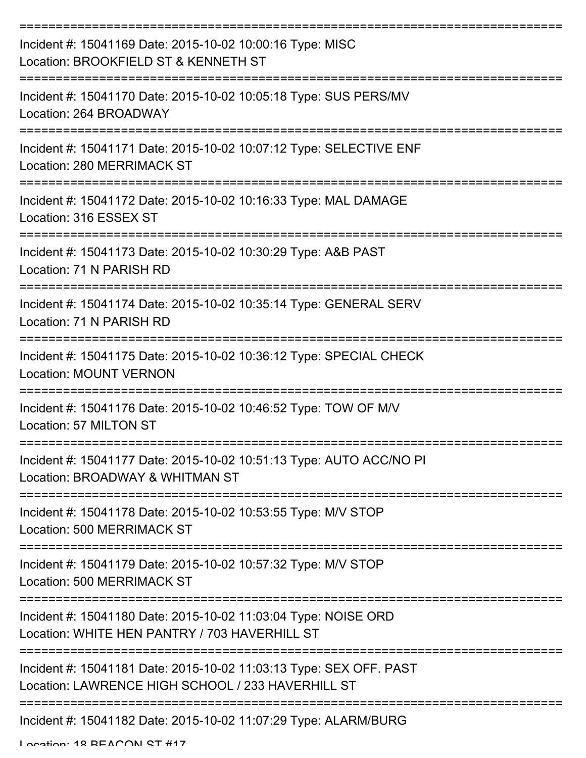| Incident #: 15041169 Date: 2015-10-02 10:00:16 Type: MISC<br>Location: BROOKFIELD ST & KENNETH ST                       |
|-------------------------------------------------------------------------------------------------------------------------|
| Incident #: 15041170 Date: 2015-10-02 10:05:18 Type: SUS PERS/MV<br>Location: 264 BROADWAY                              |
| Incident #: 15041171 Date: 2015-10-02 10:07:12 Type: SELECTIVE ENF<br><b>Location: 280 MERRIMACK ST</b>                 |
| Incident #: 15041172 Date: 2015-10-02 10:16:33 Type: MAL DAMAGE<br>Location: 316 ESSEX ST                               |
| Incident #: 15041173 Date: 2015-10-02 10:30:29 Type: A&B PAST<br>Location: 71 N PARISH RD                               |
| Incident #: 15041174 Date: 2015-10-02 10:35:14 Type: GENERAL SERV<br>Location: 71 N PARISH RD                           |
| Incident #: 15041175 Date: 2015-10-02 10:36:12 Type: SPECIAL CHECK<br><b>Location: MOUNT VERNON</b>                     |
| Incident #: 15041176 Date: 2015-10-02 10:46:52 Type: TOW OF M/V<br>Location: 57 MILTON ST                               |
| Incident #: 15041177 Date: 2015-10-02 10:51:13 Type: AUTO ACC/NO PI<br>Location: BROADWAY & WHITMAN ST                  |
| Incident #: 15041178 Date: 2015-10-02 10:53:55 Type: M/V STOP<br><b>Location: 500 MERRIMACK ST</b>                      |
| Incident #: 15041179 Date: 2015-10-02 10:57:32 Type: M/V STOP<br>Location: 500 MERRIMACK ST                             |
| Incident #: 15041180 Date: 2015-10-02 11:03:04 Type: NOISE ORD<br>Location: WHITE HEN PANTRY / 703 HAVERHILL ST         |
| Incident #: 15041181 Date: 2015-10-02 11:03:13 Type: SEX OFF. PAST<br>Location: LAWRENCE HIGH SCHOOL / 233 HAVERHILL ST |
| ---------------------<br>Incident #: 15041182 Date: 2015-10-02 11:07:29 Type: ALARM/BURG                                |

Location: 18 BEACON ST #17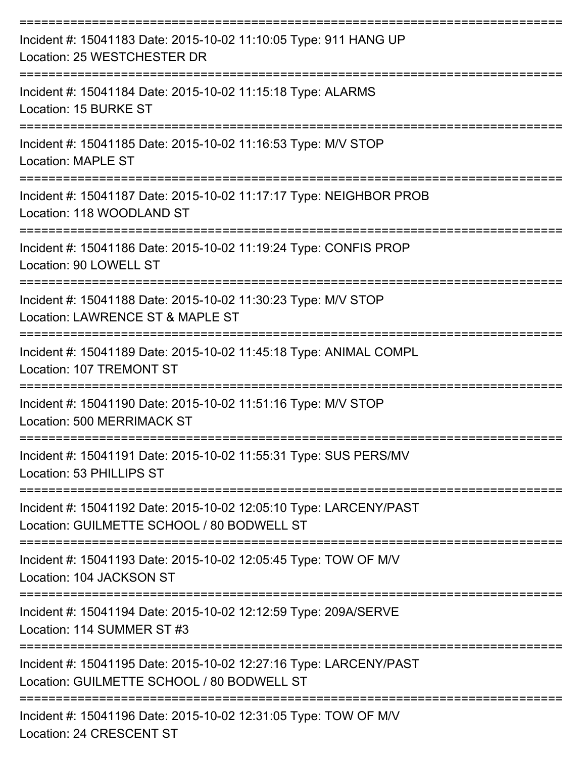| Incident #: 15041183 Date: 2015-10-02 11:10:05 Type: 911 HANG UP<br>Location: 25 WESTCHESTER DR                 |
|-----------------------------------------------------------------------------------------------------------------|
| Incident #: 15041184 Date: 2015-10-02 11:15:18 Type: ALARMS<br>Location: 15 BURKE ST                            |
| Incident #: 15041185 Date: 2015-10-02 11:16:53 Type: M/V STOP<br><b>Location: MAPLE ST</b>                      |
| Incident #: 15041187 Date: 2015-10-02 11:17:17 Type: NEIGHBOR PROB<br>Location: 118 WOODLAND ST                 |
| Incident #: 15041186 Date: 2015-10-02 11:19:24 Type: CONFIS PROP<br>Location: 90 LOWELL ST                      |
| Incident #: 15041188 Date: 2015-10-02 11:30:23 Type: M/V STOP<br>Location: LAWRENCE ST & MAPLE ST               |
| Incident #: 15041189 Date: 2015-10-02 11:45:18 Type: ANIMAL COMPL<br>Location: 107 TREMONT ST                   |
| Incident #: 15041190 Date: 2015-10-02 11:51:16 Type: M/V STOP<br>Location: 500 MERRIMACK ST                     |
| Incident #: 15041191 Date: 2015-10-02 11:55:31 Type: SUS PERS/MV<br>Location: 53 PHILLIPS ST                    |
| Incident #: 15041192 Date: 2015-10-02 12:05:10 Type: LARCENY/PAST<br>Location: GUILMETTE SCHOOL / 80 BODWELL ST |
| Incident #: 15041193 Date: 2015-10-02 12:05:45 Type: TOW OF M/V<br>Location: 104 JACKSON ST                     |
| Incident #: 15041194 Date: 2015-10-02 12:12:59 Type: 209A/SERVE<br>Location: 114 SUMMER ST #3                   |
| Incident #: 15041195 Date: 2015-10-02 12:27:16 Type: LARCENY/PAST<br>Location: GUILMETTE SCHOOL / 80 BODWELL ST |
| Incident #: 15041196 Date: 2015-10-02 12:31:05 Type: TOW OF M/V<br>Location: 24 CRESCENT ST                     |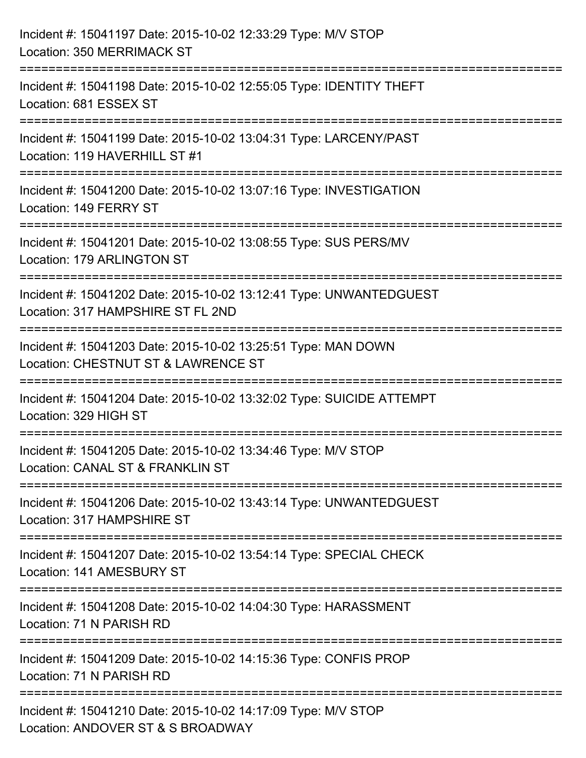| Incident #: 15041197 Date: 2015-10-02 12:33:29 Type: M/V STOP<br><b>Location: 350 MERRIMACK ST</b>                             |
|--------------------------------------------------------------------------------------------------------------------------------|
| Incident #: 15041198 Date: 2015-10-02 12:55:05 Type: IDENTITY THEFT<br>Location: 681 ESSEX ST                                  |
| Incident #: 15041199 Date: 2015-10-02 13:04:31 Type: LARCENY/PAST<br>Location: 119 HAVERHILL ST #1                             |
| Incident #: 15041200 Date: 2015-10-02 13:07:16 Type: INVESTIGATION<br>Location: 149 FERRY ST                                   |
| Incident #: 15041201 Date: 2015-10-02 13:08:55 Type: SUS PERS/MV<br>Location: 179 ARLINGTON ST                                 |
| Incident #: 15041202 Date: 2015-10-02 13:12:41 Type: UNWANTEDGUEST<br>Location: 317 HAMPSHIRE ST FL 2ND                        |
| .===================<br>Incident #: 15041203 Date: 2015-10-02 13:25:51 Type: MAN DOWN<br>Location: CHESTNUT ST & LAWRENCE ST   |
| Incident #: 15041204 Date: 2015-10-02 13:32:02 Type: SUICIDE ATTEMPT<br>Location: 329 HIGH ST                                  |
| Incident #: 15041205 Date: 2015-10-02 13:34:46 Type: M/V STOP<br>Location: CANAL ST & FRANKLIN ST                              |
| --------------------------<br>Incident #: 15041206 Date: 2015-10-02 13:43:14 Type: UNWANTEDGUEST<br>Location: 317 HAMPSHIRE ST |
| Incident #: 15041207 Date: 2015-10-02 13:54:14 Type: SPECIAL CHECK<br>Location: 141 AMESBURY ST                                |
| Incident #: 15041208 Date: 2015-10-02 14:04:30 Type: HARASSMENT<br>Location: 71 N PARISH RD                                    |
| Incident #: 15041209 Date: 2015-10-02 14:15:36 Type: CONFIS PROP<br>Location: 71 N PARISH RD                                   |
| Incident #: 15041210 Date: 2015-10-02 14:17:09 Type: M/V STOP<br>Location: ANDOVER ST & S BROADWAY                             |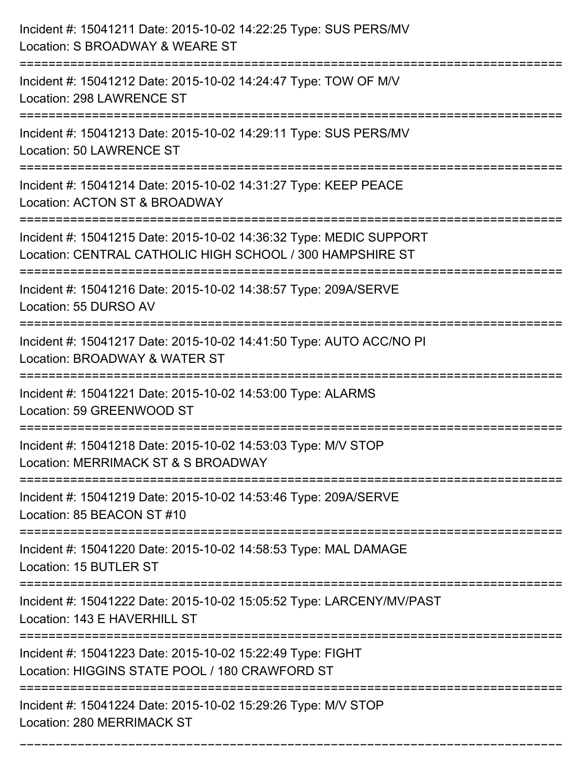| Incident #: 15041211 Date: 2015-10-02 14:22:25 Type: SUS PERS/MV<br>Location: S BROADWAY & WEARE ST                                                 |
|-----------------------------------------------------------------------------------------------------------------------------------------------------|
| Incident #: 15041212 Date: 2015-10-02 14:24:47 Type: TOW OF M/V<br>Location: 298 LAWRENCE ST                                                        |
| Incident #: 15041213 Date: 2015-10-02 14:29:11 Type: SUS PERS/MV<br><b>Location: 50 LAWRENCE ST</b>                                                 |
| Incident #: 15041214 Date: 2015-10-02 14:31:27 Type: KEEP PEACE<br>Location: ACTON ST & BROADWAY                                                    |
| Incident #: 15041215 Date: 2015-10-02 14:36:32 Type: MEDIC SUPPORT<br>Location: CENTRAL CATHOLIC HIGH SCHOOL / 300 HAMPSHIRE ST<br>---------------- |
| Incident #: 15041216 Date: 2015-10-02 14:38:57 Type: 209A/SERVE<br>Location: 55 DURSO AV                                                            |
| Incident #: 15041217 Date: 2015-10-02 14:41:50 Type: AUTO ACC/NO PI<br>Location: BROADWAY & WATER ST<br>-------------                               |
| Incident #: 15041221 Date: 2015-10-02 14:53:00 Type: ALARMS<br>Location: 59 GREENWOOD ST                                                            |
| Incident #: 15041218 Date: 2015-10-02 14:53:03 Type: M/V STOP<br>Location: MERRIMACK ST & S BROADWAY                                                |
| Incident #: 15041219 Date: 2015-10-02 14:53:46 Type: 209A/SERVE<br>Location: 85 BEACON ST #10                                                       |
| Incident #: 15041220 Date: 2015-10-02 14:58:53 Type: MAL DAMAGE<br>Location: 15 BUTLER ST                                                           |
| Incident #: 15041222 Date: 2015-10-02 15:05:52 Type: LARCENY/MV/PAST<br>Location: 143 E HAVERHILL ST                                                |
| Incident #: 15041223 Date: 2015-10-02 15:22:49 Type: FIGHT<br>Location: HIGGINS STATE POOL / 180 CRAWFORD ST                                        |
| Incident #: 15041224 Date: 2015-10-02 15:29:26 Type: M/V STOP<br>Location: 280 MERRIMACK ST                                                         |

===========================================================================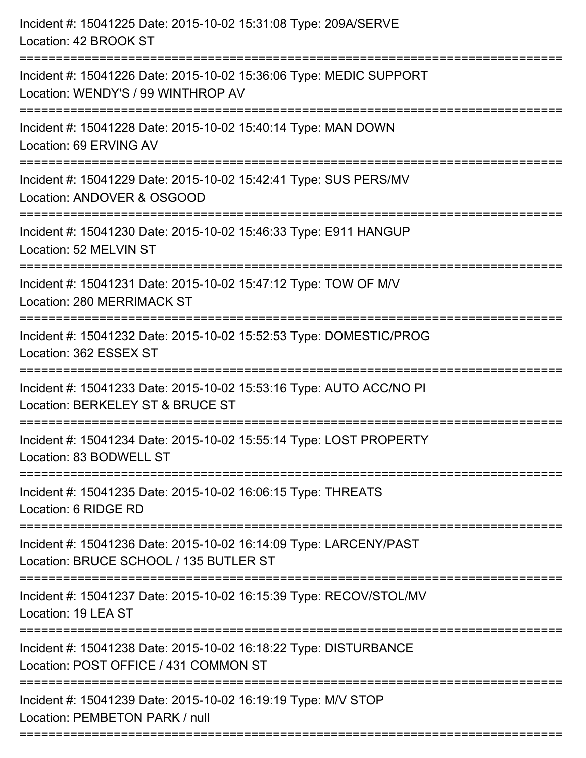| Incident #: 15041225 Date: 2015-10-02 15:31:08 Type: 209A/SERVE<br>Location: 42 BROOK ST                    |
|-------------------------------------------------------------------------------------------------------------|
| Incident #: 15041226 Date: 2015-10-02 15:36:06 Type: MEDIC SUPPORT<br>Location: WENDY'S / 99 WINTHROP AV    |
| Incident #: 15041228 Date: 2015-10-02 15:40:14 Type: MAN DOWN<br>Location: 69 ERVING AV                     |
| Incident #: 15041229 Date: 2015-10-02 15:42:41 Type: SUS PERS/MV<br>Location: ANDOVER & OSGOOD              |
| Incident #: 15041230 Date: 2015-10-02 15:46:33 Type: E911 HANGUP<br>Location: 52 MELVIN ST                  |
| Incident #: 15041231 Date: 2015-10-02 15:47:12 Type: TOW OF M/V<br>Location: 280 MERRIMACK ST               |
| Incident #: 15041232 Date: 2015-10-02 15:52:53 Type: DOMESTIC/PROG<br>Location: 362 ESSEX ST                |
| Incident #: 15041233 Date: 2015-10-02 15:53:16 Type: AUTO ACC/NO PI<br>Location: BERKELEY ST & BRUCE ST     |
| Incident #: 15041234 Date: 2015-10-02 15:55:14 Type: LOST PROPERTY<br>Location: 83 BODWELL ST               |
| Incident #: 15041235 Date: 2015-10-02 16:06:15 Type: THREATS<br>Location: 6 RIDGE RD                        |
| Incident #: 15041236 Date: 2015-10-02 16:14:09 Type: LARCENY/PAST<br>Location: BRUCE SCHOOL / 135 BUTLER ST |
| Incident #: 15041237 Date: 2015-10-02 16:15:39 Type: RECOV/STOL/MV<br>Location: 19 LEA ST                   |
| Incident #: 15041238 Date: 2015-10-02 16:18:22 Type: DISTURBANCE<br>Location: POST OFFICE / 431 COMMON ST   |
| Incident #: 15041239 Date: 2015-10-02 16:19:19 Type: M/V STOP<br>Location: PEMBETON PARK / null             |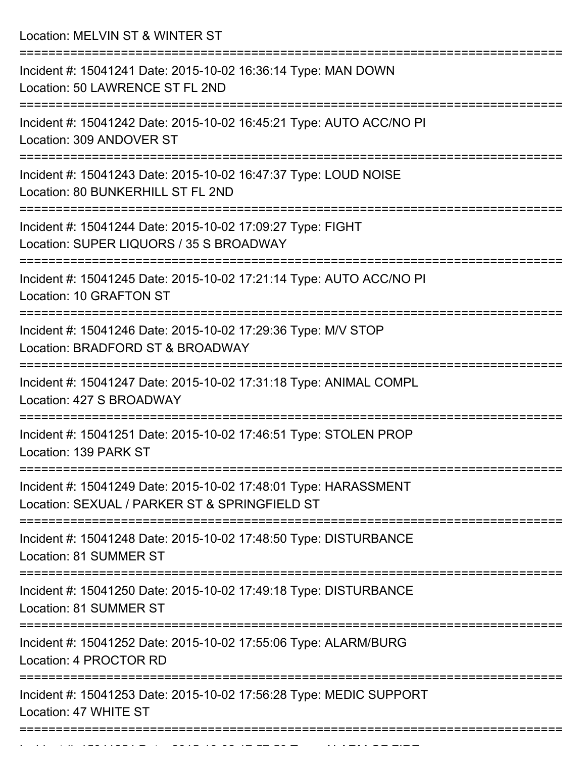Location: MELVIN ST & WINTER ST

| Incident #: 15041241 Date: 2015-10-02 16:36:14 Type: MAN DOWN<br>Location: 50 LAWRENCE ST FL 2ND                 |
|------------------------------------------------------------------------------------------------------------------|
| Incident #: 15041242 Date: 2015-10-02 16:45:21 Type: AUTO ACC/NO PI<br>Location: 309 ANDOVER ST                  |
| Incident #: 15041243 Date: 2015-10-02 16:47:37 Type: LOUD NOISE<br>Location: 80 BUNKERHILL ST FL 2ND             |
| Incident #: 15041244 Date: 2015-10-02 17:09:27 Type: FIGHT<br>Location: SUPER LIQUORS / 35 S BROADWAY            |
| Incident #: 15041245 Date: 2015-10-02 17:21:14 Type: AUTO ACC/NO PI<br>Location: 10 GRAFTON ST                   |
| Incident #: 15041246 Date: 2015-10-02 17:29:36 Type: M/V STOP<br>Location: BRADFORD ST & BROADWAY                |
| Incident #: 15041247 Date: 2015-10-02 17:31:18 Type: ANIMAL COMPL<br>Location: 427 S BROADWAY                    |
| ==========<br>Incident #: 15041251 Date: 2015-10-02 17:46:51 Type: STOLEN PROP<br>Location: 139 PARK ST          |
| Incident #: 15041249 Date: 2015-10-02 17:48:01 Type: HARASSMENT<br>Location: SEXUAL / PARKER ST & SPRINGFIELD ST |
| Incident #: 15041248 Date: 2015-10-02 17:48:50 Type: DISTURBANCE<br>Location: 81 SUMMER ST                       |
| Incident #: 15041250 Date: 2015-10-02 17:49:18 Type: DISTURBANCE<br>Location: 81 SUMMER ST                       |
| Incident #: 15041252 Date: 2015-10-02 17:55:06 Type: ALARM/BURG<br>Location: 4 PROCTOR RD                        |
| Incident #: 15041253 Date: 2015-10-02 17:56:28 Type: MEDIC SUPPORT<br>Location: 47 WHITE ST                      |
|                                                                                                                  |

In the state  $\{15041254$  Date: 2015 10 02 17:57:50 Type:  $\{15041254$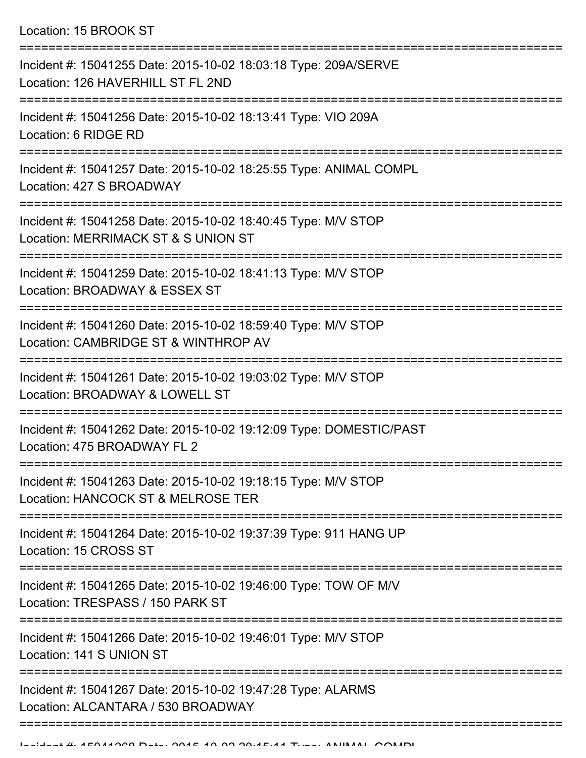| Incident #: 15041255 Date: 2015-10-02 18:03:18 Type: 209A/SERVE<br>Location: 126 HAVERHILL ST FL 2ND  |
|-------------------------------------------------------------------------------------------------------|
| Incident #: 15041256 Date: 2015-10-02 18:13:41 Type: VIO 209A<br>Location: 6 RIDGE RD                 |
| Incident #: 15041257 Date: 2015-10-02 18:25:55 Type: ANIMAL COMPL<br>Location: 427 S BROADWAY         |
| Incident #: 15041258 Date: 2015-10-02 18:40:45 Type: M/V STOP<br>Location: MERRIMACK ST & S UNION ST  |
| Incident #: 15041259 Date: 2015-10-02 18:41:13 Type: M/V STOP<br>Location: BROADWAY & ESSEX ST        |
| Incident #: 15041260 Date: 2015-10-02 18:59:40 Type: M/V STOP<br>Location: CAMBRIDGE ST & WINTHROP AV |
| Incident #: 15041261 Date: 2015-10-02 19:03:02 Type: M/V STOP<br>Location: BROADWAY & LOWELL ST       |
| Incident #: 15041262 Date: 2015-10-02 19:12:09 Type: DOMESTIC/PAST<br>Location: 475 BROADWAY FL 2     |
| Incident #: 15041263 Date: 2015-10-02 19:18:15 Type: M/V STOP<br>Location: HANCOCK ST & MELROSE TER   |
| Incident #: 15041264 Date: 2015-10-02 19:37:39 Type: 911 HANG UP<br>Location: 15 CROSS ST             |
| Incident #: 15041265 Date: 2015-10-02 19:46:00 Type: TOW OF M/V<br>Location: TRESPASS / 150 PARK ST   |
| Incident #: 15041266 Date: 2015-10-02 19:46:01 Type: M/V STOP<br>Location: 141 S UNION ST             |
| Incident #: 15041267 Date: 2015-10-02 19:47:28 Type: ALARMS<br>Location: ALCANTARA / 530 BROADWAY     |
|                                                                                                       |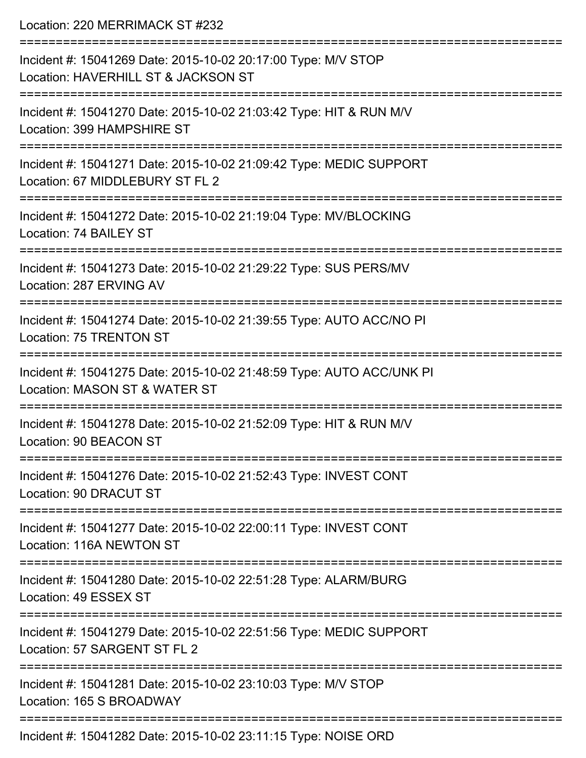| Location: 220 MERRIMACK ST #232                                                                                                       |
|---------------------------------------------------------------------------------------------------------------------------------------|
| Incident #: 15041269 Date: 2015-10-02 20:17:00 Type: M/V STOP<br>Location: HAVERHILL ST & JACKSON ST<br>============================= |
| Incident #: 15041270 Date: 2015-10-02 21:03:42 Type: HIT & RUN M/V<br>Location: 399 HAMPSHIRE ST                                      |
| Incident #: 15041271 Date: 2015-10-02 21:09:42 Type: MEDIC SUPPORT<br>Location: 67 MIDDLEBURY ST FL 2<br>=========================    |
| Incident #: 15041272 Date: 2015-10-02 21:19:04 Type: MV/BLOCKING<br>Location: 74 BAILEY ST                                            |
| Incident #: 15041273 Date: 2015-10-02 21:29:22 Type: SUS PERS/MV<br>Location: 287 ERVING AV                                           |
| Incident #: 15041274 Date: 2015-10-02 21:39:55 Type: AUTO ACC/NO PI<br>Location: 75 TRENTON ST                                        |
| Incident #: 15041275 Date: 2015-10-02 21:48:59 Type: AUTO ACC/UNK PI<br>Location: MASON ST & WATER ST                                 |
| Incident #: 15041278 Date: 2015-10-02 21:52:09 Type: HIT & RUN M/V<br>Location: 90 BEACON ST                                          |
| Incident #: 15041276 Date: 2015-10-02 21:52:43 Type: INVEST CONT<br>Location: 90 DRACUT ST                                            |
| Incident #: 15041277 Date: 2015-10-02 22:00:11 Type: INVEST CONT<br>Location: 116A NEWTON ST                                          |
| Incident #: 15041280 Date: 2015-10-02 22:51:28 Type: ALARM/BURG<br>Location: 49 ESSEX ST                                              |
| Incident #: 15041279 Date: 2015-10-02 22:51:56 Type: MEDIC SUPPORT<br>Location: 57 SARGENT ST FL 2                                    |
| Incident #: 15041281 Date: 2015-10-02 23:10:03 Type: M/V STOP<br>Location: 165 S BROADWAY                                             |
|                                                                                                                                       |

Incident #: 15041282 Date: 2015-10-02 23:11:15 Type: NOISE ORD